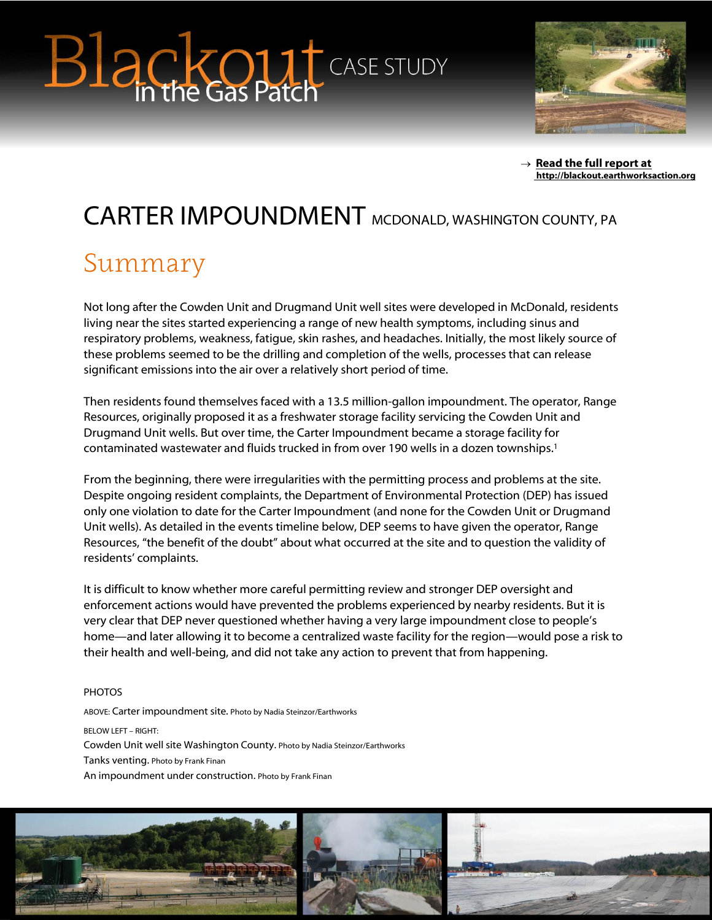# **Blackout** CASE STUDY



 $\rightarrow$  Read the full report at **[http://blackout.earthworksaction.org](http://blackout.earthworksaction.org/)**

## CARTER IMPOUNDMENT MCDONALD, WASHINGTON COUNTY, PA

#### Summary

Not long after the Cowden Unit and Drugmand Unit well sites were developed in McDonald, residents living near the sites started experiencing a range of new health symptoms, including sinus and respiratory problems, weakness, fatigue, skin rashes, and headaches. Initially, the most likely source of these problems seemed to be the drilling and completion of the wells, processes that can release significant emissions into the air over a relatively short period of time.

Then residents found themselves faced with a 13.5 million-gallon impoundment. The operator, Range Resources, originally proposed it as a freshwater storage facility servicing the Cowden Unit and Drugmand Unit wells. But over time, the Carter Impoundment became a storage facility for contaminated wastewater and fluids trucked in from over 190 wells in a dozen townships.<sup>1</sup>

From the beginning, there were irregularities with the permitting process and problems at the site. Despite ongoing resident complaints, the Department of Environmental Protection (DEP) has issued only one violation to date for the Carter Impoundment (and none for the Cowden Unit or Drugmand Unit wells). As detailed in the events timeline below, DEP seems to have given the operator, Range Resources, "the benefit of the doubt" about what occurred at the site and to question the validity of residents' complaints.

It is difficult to know whether more careful permitting review and stronger DEP oversight and enforcement actions would have prevented the problems experienced by nearby residents. But it is very clear that DEP never questioned whether having a very large impoundment close to people's home—and later allowing it to become a centralized waste facility for the region—would pose a risk to their health and well-being, and did not take any action to prevent that from happening.

#### **PHOTOS**

ABOVE: Carter impoundment site. Photo by Nadia Steinzor/Earthworks BELOW LEFT – RIGHT: Cowden Unit well site Washington County. Photo by Nadia Steinzor/Earthworks Tanks venting. Photo by Frank Finan An impoundment under construction. Photo by Frank Finan

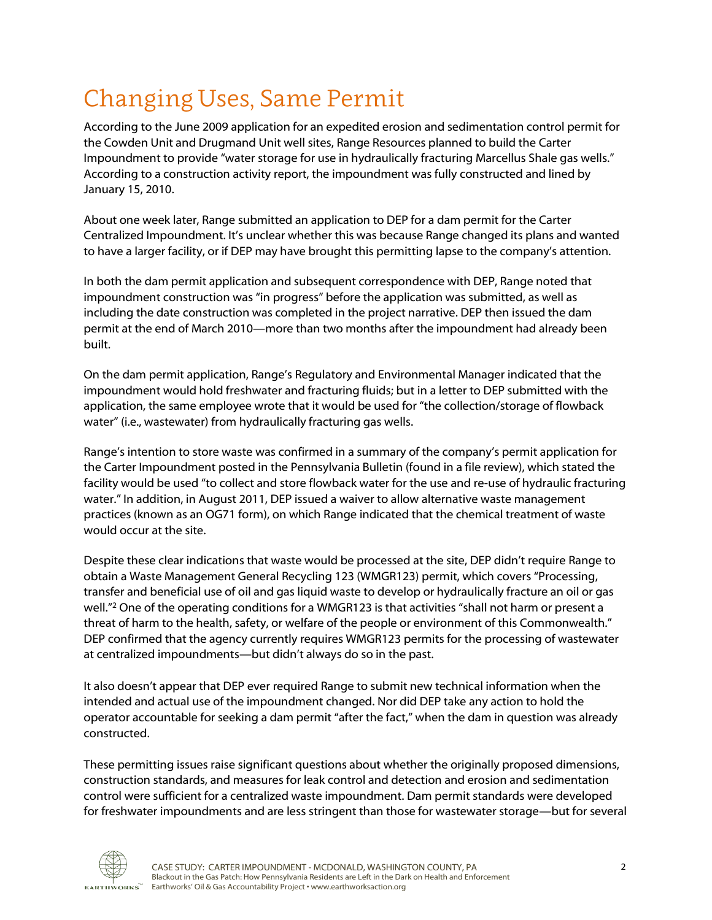## Changing Uses, Same Permit

According to the June 2009 application for an expedited erosion and sedimentation control permit for the Cowden Unit and Drugmand Unit well sites, Range Resources planned to build the Carter Impoundment to provide "water storage for use in hydraulically fracturing Marcellus Shale gas wells." According to a construction activity report, the impoundment was fully constructed and lined by January 15, 2010.

About one week later, Range submitted an application to DEP for a dam permit for the Carter Centralized Impoundment. It's unclear whether this was because Range changed its plans and wanted to have a larger facility, or if DEP may have brought this permitting lapse to the company's attention.

In both the dam permit application and subsequent correspondence with DEP, Range noted that impoundment construction was "in progress" before the application was submitted, as well as including the date construction was completed in the project narrative. DEP then issued the dam permit at the end of March 2010—more than two months after the impoundment had already been built.

On the dam permit application, Range's Regulatory and Environmental Manager indicated that the impoundment would hold freshwater and fracturing fluids; but in a letter to DEP submitted with the application, the same employee wrote that it would be used for "the collection/storage of flowback water" (i.e., wastewater) from hydraulically fracturing gas wells.

Range's intention to store waste was confirmed in a summary of the company's permit application for the Carter Impoundment posted in the Pennsylvania Bulletin (found in a file review), which stated the facility would be used "to collect and store flowback water for the use and re-use of hydraulic fracturing water." In addition, in August 2011, DEP issued a waiver to allow alternative waste management practices (known as an OG71 form), on which Range indicated that the chemical treatment of waste would occur at the site.

Despite these clear indications that waste would be processed at the site, DEP didn't require Range to obtain a Waste Management General Recycling 123 (WMGR123) permit, which covers "Processing, transfer and beneficial use of oil and gas liquid waste to develop or hydraulically fracture an oil or gas well." <sup>2</sup> One of the operating conditions for a WMGR123 is that activities "shall not harm or present a threat of harm to the health, safety, or welfare of the people or environment of this Commonwealth." DEP confirmed that the agency currently requires WMGR123 permits for the processing of wastewater at centralized impoundments—but didn't always do so in the past.

It also doesn't appear that DEP ever required Range to submit new technical information when the intended and actual use of the impoundment changed. Nor did DEP take any action to hold the operator accountable for seeking a dam permit "after the fact," when the dam in question was already constructed.

These permitting issues raise significant questions about whether the originally proposed dimensions, construction standards, and measures for leak control and detection and erosion and sedimentation control were sufficient for a centralized waste impoundment. Dam permit standards were developed for freshwater impoundments and are less stringent than those for wastewater storage—but for several

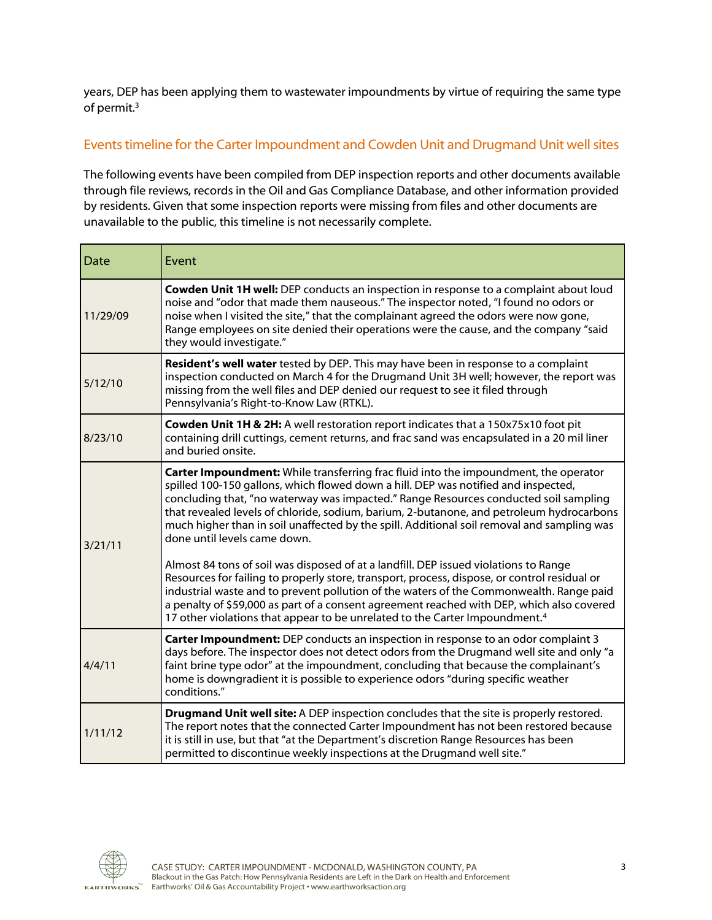years, DEP has been applying them to wastewater impoundments by virtue of requiring the same type of permit.<sup>3</sup>

#### Events timeline for the Carter Impoundment and Cowden Unit and Drugmand Unit well sites

The following events have been compiled from DEP inspection reports and other documents available through file reviews, records in the Oil and Gas Compliance Database, and other information provided by residents. Given that some inspection reports were missing from files and other documents are unavailable to the public, this timeline is not necessarily complete.

| Date     | Event                                                                                                                                                                                                                                                                                                                                                                                                                                                                                        |
|----------|----------------------------------------------------------------------------------------------------------------------------------------------------------------------------------------------------------------------------------------------------------------------------------------------------------------------------------------------------------------------------------------------------------------------------------------------------------------------------------------------|
| 11/29/09 | Cowden Unit 1H well: DEP conducts an inspection in response to a complaint about loud<br>noise and "odor that made them nauseous." The inspector noted, "I found no odors or<br>noise when I visited the site," that the complainant agreed the odors were now gone,<br>Range employees on site denied their operations were the cause, and the company "said<br>they would investigate."                                                                                                    |
| 5/12/10  | Resident's well water tested by DEP. This may have been in response to a complaint<br>inspection conducted on March 4 for the Drugmand Unit 3H well; however, the report was<br>missing from the well files and DEP denied our request to see it filed through<br>Pennsylvania's Right-to-Know Law (RTKL).                                                                                                                                                                                   |
| 8/23/10  | Cowden Unit 1H & 2H: A well restoration report indicates that a 150x75x10 foot pit<br>containing drill cuttings, cement returns, and frac sand was encapsulated in a 20 mil liner<br>and buried onsite.                                                                                                                                                                                                                                                                                      |
| 3/21/11  | Carter Impoundment: While transferring frac fluid into the impoundment, the operator<br>spilled 100-150 gallons, which flowed down a hill. DEP was notified and inspected,<br>concluding that, "no waterway was impacted." Range Resources conducted soil sampling<br>that revealed levels of chloride, sodium, barium, 2-butanone, and petroleum hydrocarbons<br>much higher than in soil unaffected by the spill. Additional soil removal and sampling was<br>done until levels came down. |
|          | Almost 84 tons of soil was disposed of at a landfill. DEP issued violations to Range<br>Resources for failing to properly store, transport, process, dispose, or control residual or<br>industrial waste and to prevent pollution of the waters of the Commonwealth. Range paid<br>a penalty of \$59,000 as part of a consent agreement reached with DEP, which also covered<br>17 other violations that appear to be unrelated to the Carter Impoundment. <sup>4</sup>                      |
| 4/4/11   | Carter Impoundment: DEP conducts an inspection in response to an odor complaint 3<br>days before. The inspector does not detect odors from the Drugmand well site and only "a<br>faint brine type odor" at the impoundment, concluding that because the complainant's<br>home is downgradient it is possible to experience odors "during specific weather<br>conditions."                                                                                                                    |
| 1/11/12  | Drugmand Unit well site: A DEP inspection concludes that the site is properly restored.<br>The report notes that the connected Carter Impoundment has not been restored because<br>it is still in use, but that "at the Department's discretion Range Resources has been<br>permitted to discontinue weekly inspections at the Drugmand well site."                                                                                                                                          |

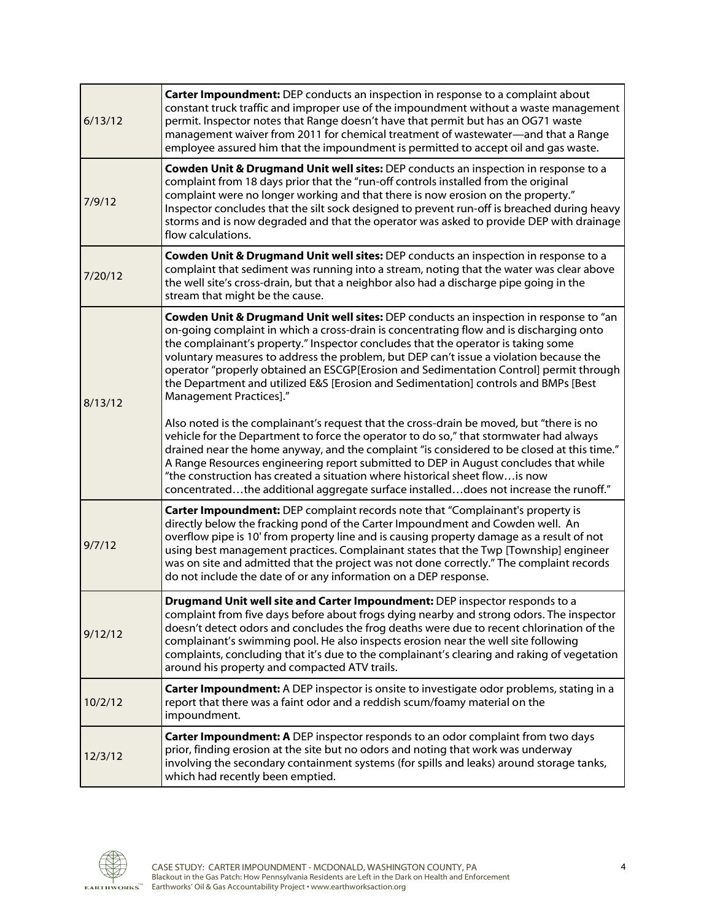| 6/13/12 | Carter Impoundment: DEP conducts an inspection in response to a complaint about<br>constant truck traffic and improper use of the impoundment without a waste management<br>permit. Inspector notes that Range doesn't have that permit but has an OG71 waste<br>management waiver from 2011 for chemical treatment of wastewater-and that a Range<br>employee assured him that the impoundment is permitted to accept oil and gas waste.                                                                                                                                   |
|---------|-----------------------------------------------------------------------------------------------------------------------------------------------------------------------------------------------------------------------------------------------------------------------------------------------------------------------------------------------------------------------------------------------------------------------------------------------------------------------------------------------------------------------------------------------------------------------------|
| 7/9/12  | Cowden Unit & Drugmand Unit well sites: DEP conducts an inspection in response to a<br>complaint from 18 days prior that the "run-off controls installed from the original<br>complaint were no longer working and that there is now erosion on the property."<br>Inspector concludes that the silt sock designed to prevent run-off is breached during heavy<br>storms and is now degraded and that the operator was asked to provide DEP with drainage<br>flow calculations.                                                                                              |
| 7/20/12 | Cowden Unit & Drugmand Unit well sites: DEP conducts an inspection in response to a<br>complaint that sediment was running into a stream, noting that the water was clear above<br>the well site's cross-drain, but that a neighbor also had a discharge pipe going in the<br>stream that might be the cause.                                                                                                                                                                                                                                                               |
| 8/13/12 | Cowden Unit & Drugmand Unit well sites: DEP conducts an inspection in response to "an<br>on-going complaint in which a cross-drain is concentrating flow and is discharging onto<br>the complainant's property." Inspector concludes that the operator is taking some<br>voluntary measures to address the problem, but DEP can't issue a violation because the<br>operator "properly obtained an ESCGP[Erosion and Sedimentation Control] permit through<br>the Department and utilized E&S [Erosion and Sedimentation] controls and BMPs [Best<br>Management Practices]." |
|         | Also noted is the complainant's request that the cross-drain be moved, but "there is no<br>vehicle for the Department to force the operator to do so," that stormwater had always<br>drained near the home anyway, and the complaint "is considered to be closed at this time."<br>A Range Resources engineering report submitted to DEP in August concludes that while<br>"the construction has created a situation where historical sheet flowis now<br>concentratedthe additional aggregate surface installeddoes not increase the runoff."                              |
| 9/7/12  | <b>Carter Impoundment:</b> DEP complaint records note that "Complainant's property is<br>directly below the fracking pond of the Carter Impoundment and Cowden well. An<br>overflow pipe is 10' from property line and is causing property damage as a result of not<br>using best management practices. Complainant states that the Twp [Township] engineer<br>was on site and admitted that the project was not done correctly." The complaint records<br>do not include the date of or any information on a DEP response.                                                |
| 9/12/12 | Drugmand Unit well site and Carter Impoundment: DEP inspector responds to a<br>complaint from five days before about frogs dying nearby and strong odors. The inspector<br>doesn't detect odors and concludes the frog deaths were due to recent chlorination of the<br>complainant's swimming pool. He also inspects erosion near the well site following<br>complaints, concluding that it's due to the complainant's clearing and raking of vegetation<br>around his property and compacted ATV trails.                                                                  |
| 10/2/12 | Carter Impoundment: A DEP inspector is onsite to investigate odor problems, stating in a<br>report that there was a faint odor and a reddish scum/foamy material on the<br>impoundment.                                                                                                                                                                                                                                                                                                                                                                                     |
| 12/3/12 | Carter Impoundment: A DEP inspector responds to an odor complaint from two days<br>prior, finding erosion at the site but no odors and noting that work was underway<br>involving the secondary containment systems (for spills and leaks) around storage tanks,<br>which had recently been emptied.                                                                                                                                                                                                                                                                        |

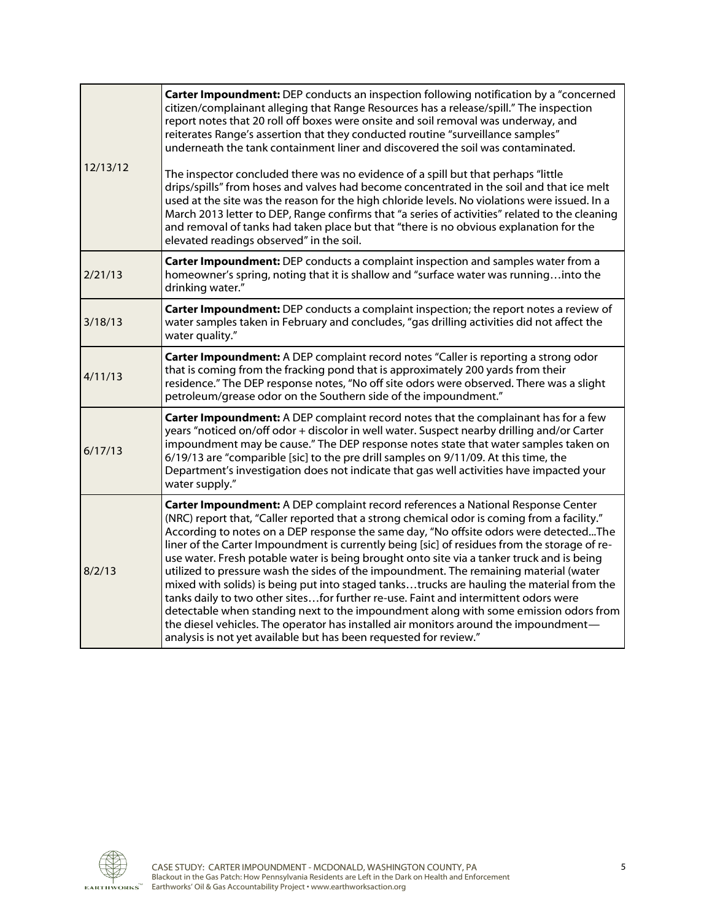| 12/13/12 | Carter Impoundment: DEP conducts an inspection following notification by a "concerned<br>citizen/complainant alleging that Range Resources has a release/spill." The inspection<br>report notes that 20 roll off boxes were onsite and soil removal was underway, and<br>reiterates Range's assertion that they conducted routine "surveillance samples"<br>underneath the tank containment liner and discovered the soil was contaminated.<br>The inspector concluded there was no evidence of a spill but that perhaps "little<br>drips/spills" from hoses and valves had become concentrated in the soil and that ice melt<br>used at the site was the reason for the high chloride levels. No violations were issued. In a<br>March 2013 letter to DEP, Range confirms that "a series of activities" related to the cleaning<br>and removal of tanks had taken place but that "there is no obvious explanation for the<br>elevated readings observed" in the soil.                                  |
|----------|---------------------------------------------------------------------------------------------------------------------------------------------------------------------------------------------------------------------------------------------------------------------------------------------------------------------------------------------------------------------------------------------------------------------------------------------------------------------------------------------------------------------------------------------------------------------------------------------------------------------------------------------------------------------------------------------------------------------------------------------------------------------------------------------------------------------------------------------------------------------------------------------------------------------------------------------------------------------------------------------------------|
| 2/21/13  | Carter Impoundment: DEP conducts a complaint inspection and samples water from a<br>homeowner's spring, noting that it is shallow and "surface water was runninginto the<br>drinking water."                                                                                                                                                                                                                                                                                                                                                                                                                                                                                                                                                                                                                                                                                                                                                                                                            |
| 3/18/13  | Carter Impoundment: DEP conducts a complaint inspection; the report notes a review of<br>water samples taken in February and concludes, "gas drilling activities did not affect the<br>water quality."                                                                                                                                                                                                                                                                                                                                                                                                                                                                                                                                                                                                                                                                                                                                                                                                  |
| 4/11/13  | Carter Impoundment: A DEP complaint record notes "Caller is reporting a strong odor<br>that is coming from the fracking pond that is approximately 200 yards from their<br>residence." The DEP response notes, "No off site odors were observed. There was a slight<br>petroleum/grease odor on the Southern side of the impoundment."                                                                                                                                                                                                                                                                                                                                                                                                                                                                                                                                                                                                                                                                  |
| 6/17/13  | Carter Impoundment: A DEP complaint record notes that the complainant has for a few<br>years "noticed on/off odor + discolor in well water. Suspect nearby drilling and/or Carter<br>impoundment may be cause." The DEP response notes state that water samples taken on<br>6/19/13 are "comparible [sic] to the pre drill samples on 9/11/09. At this time, the<br>Department's investigation does not indicate that gas well activities have impacted your<br>water supply."                                                                                                                                                                                                                                                                                                                                                                                                                                                                                                                          |
| 8/2/13   | Carter Impoundment: A DEP complaint record references a National Response Center<br>(NRC) report that, "Caller reported that a strong chemical odor is coming from a facility."<br>According to notes on a DEP response the same day, "No offsite odors were detectedThe<br>liner of the Carter Impoundment is currently being [sic] of residues from the storage of re-<br>use water. Fresh potable water is being brought onto site via a tanker truck and is being<br>utilized to pressure wash the sides of the impoundment. The remaining material (water<br>mixed with solids) is being put into staged tankstrucks are hauling the material from the<br>tanks daily to two other sitesfor further re-use. Faint and intermittent odors were<br>detectable when standing next to the impoundment along with some emission odors from<br>the diesel vehicles. The operator has installed air monitors around the impoundment-<br>analysis is not yet available but has been requested for review." |

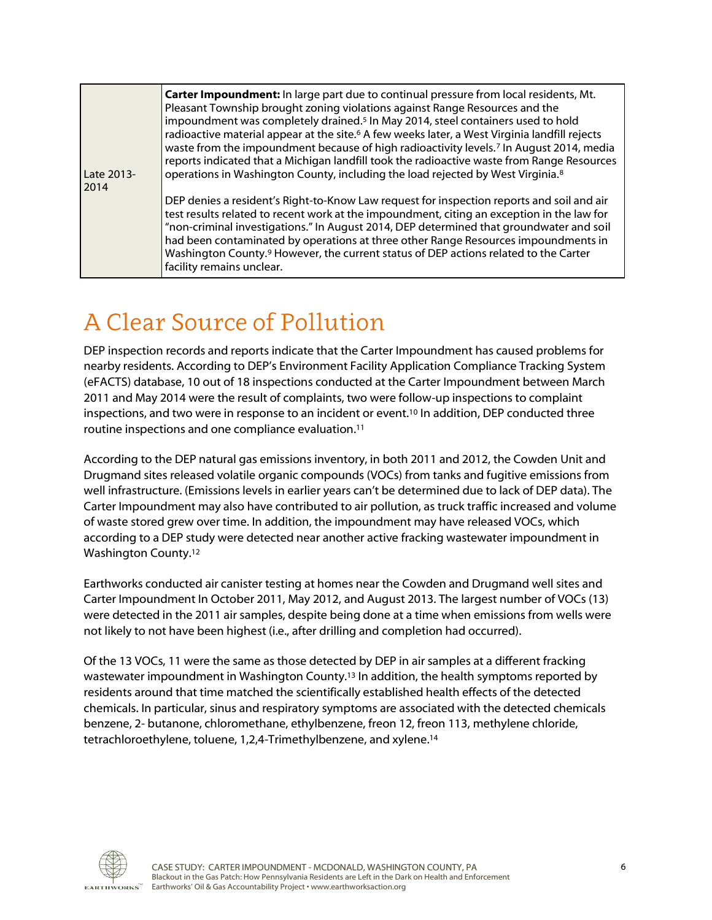| Late 2013-<br>2014 | Carter Impoundment: In large part due to continual pressure from local residents, Mt.<br>Pleasant Township brought zoning violations against Range Resources and the<br>impoundment was completely drained. <sup>5</sup> In May 2014, steel containers used to hold<br>radioactive material appear at the site. <sup>6</sup> A few weeks later, a West Virginia landfill rejects<br>waste from the impoundment because of high radioactivity levels. <sup>7</sup> In August 2014, media<br>reports indicated that a Michigan landfill took the radioactive waste from Range Resources<br>operations in Washington County, including the load rejected by West Virginia. <sup>8</sup> |
|--------------------|--------------------------------------------------------------------------------------------------------------------------------------------------------------------------------------------------------------------------------------------------------------------------------------------------------------------------------------------------------------------------------------------------------------------------------------------------------------------------------------------------------------------------------------------------------------------------------------------------------------------------------------------------------------------------------------|
|                    | DEP denies a resident's Right-to-Know Law request for inspection reports and soil and air<br>test results related to recent work at the impoundment, citing an exception in the law for<br>"non-criminal investigations." In August 2014, DEP determined that groundwater and soil<br>had been contaminated by operations at three other Range Resources impoundments in<br>Washington County. <sup>9</sup> However, the current status of DEP actions related to the Carter<br>facility remains unclear.                                                                                                                                                                            |

#### A Clear Source of Pollution

DEP inspection records and reports indicate that the Carter Impoundment has caused problems for nearby residents. According to DEP's Environment Facility Application Compliance Tracking System (eFACTS) database, 10 out of 18 inspections conducted at the Carter Impoundment between March 2011 and May 2014 were the result of complaints, two were follow-up inspections to complaint inspections, and two were in response to an incident or event.<sup>10</sup> In addition, DEP conducted three routine inspections and one compliance evaluation. 11

According to the DEP natural gas emissions inventory, in both 2011 and 2012, the Cowden Unit and Drugmand sites released volatile organic compounds (VOCs) from tanks and fugitive emissions from well infrastructure. (Emissions levels in earlier years can't be determined due to lack of DEP data). The Carter Impoundment may also have contributed to air pollution, as truck traffic increased and volume of waste stored grew over time. In addition, the impoundment may have released VOCs, which according to a DEP study were detected near another active fracking wastewater impoundment in Washington County.<sup>12</sup>

Earthworks conducted air canister testing at homes near the Cowden and Drugmand well sites and Carter Impoundment In October 2011, May 2012, and August 2013. The largest number of VOCs (13) were detected in the 2011 air samples, despite being done at a time when emissions from wells were not likely to not have been highest (i.e., after drilling and completion had occurred).

Of the 13 VOCs, 11 were the same as those detected by DEP in air samples at a different fracking wastewater impoundment in Washington County.<sup>13</sup> In addition, the health symptoms reported by residents around that time matched the scientifically established health effects of the detected chemicals. In particular, sinus and respiratory symptoms are associated with the detected chemicals benzene, 2- butanone, chloromethane, ethylbenzene, freon 12, freon 113, methylene chloride, tetrachloroethylene, toluene, 1,2,4-Trimethylbenzene, and xylene.<sup>14</sup>

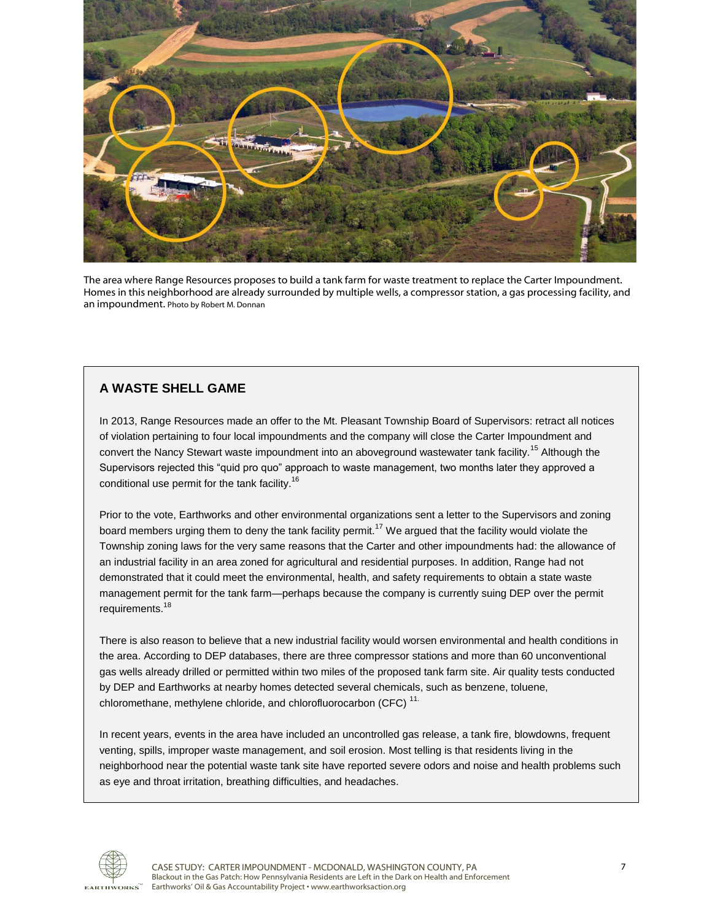

The area where Range Resources proposes to build a tank farm for waste treatment to replace the Carter Impoundment. Homes in this neighborhood are already surrounded by multiple wells, a compressor station, a gas processing facility, and an impoundment. Photo by Robert M. Donnan

#### **A WASTE SHELL GAME**

In 2013, Range Resources made an offer to the Mt. Pleasant Township Board of Supervisors: retract all notices of violation pertaining to four local impoundments and the company will close the Carter Impoundment and convert the Nancy Stewart waste impoundment into an aboveground wastewater tank facility.<sup>15</sup> Although the Supervisors rejected this "quid pro quo" approach to waste management, two months later they approved a conditional use permit for the tank facility.<sup>16</sup>

Prior to the vote, Earthworks and other environmental organizations sent a letter to the Supervisors and zoning board members urging them to deny the tank facility permit.<sup>17</sup> We argued that the facility would violate the Township zoning laws for the very same reasons that the Carter and other impoundments had: the allowance of an industrial facility in an area zoned for agricultural and residential purposes. In addition, Range had not demonstrated that it could meet the environmental, health, and safety requirements to obtain a state waste management permit for the tank farm—perhaps because the company is currently suing DEP over the permit requirements.<sup>18</sup>

There is also reason to believe that a new industrial facility would worsen environmental and health conditions in the area. According to DEP databases, there are three compressor stations and more than 60 unconventional gas wells already drilled or permitted within two miles of the proposed tank farm site. Air quality tests conducted by DEP and Earthworks at nearby homes detected several chemicals, such as benzene, toluene, chloromethane, methylene chloride, and chlorofluorocarbon (CFC) <sup>11.</sup>

In recent years, events in the area have included an uncontrolled gas release, a tank fire, blowdowns, frequent venting, spills, improper waste management, and soil erosion. Most telling is that residents living in the neighborhood near the potential waste tank site have reported severe odors and noise and health problems such as eye and throat irritation, breathing difficulties, and headaches.